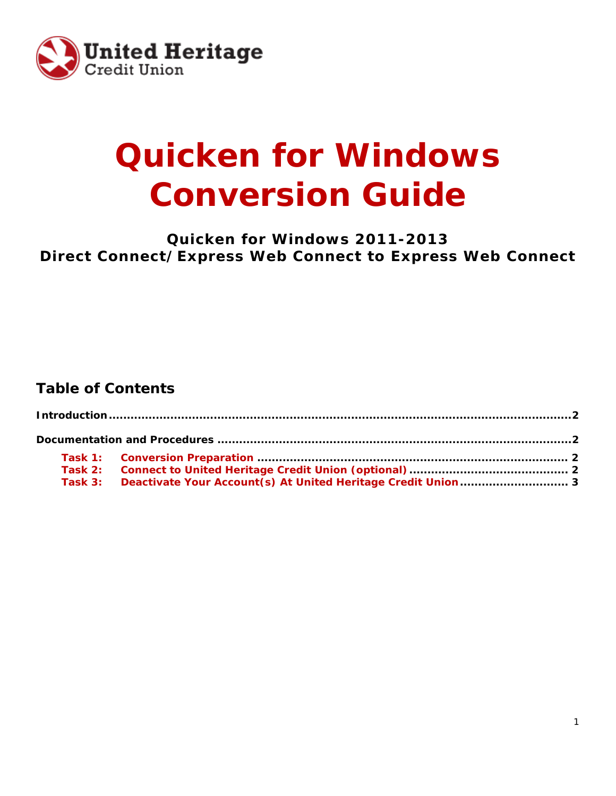

# **Quicken for Windows Conversion Guide**

**Quicken for Windows 2011-2013 Direct Connect/Express Web Connect to Express Web Connect**

## **Table of Contents**

| Task 3: Deactivate Your Account(s) At United Heritage Credit Union 3 |  |
|----------------------------------------------------------------------|--|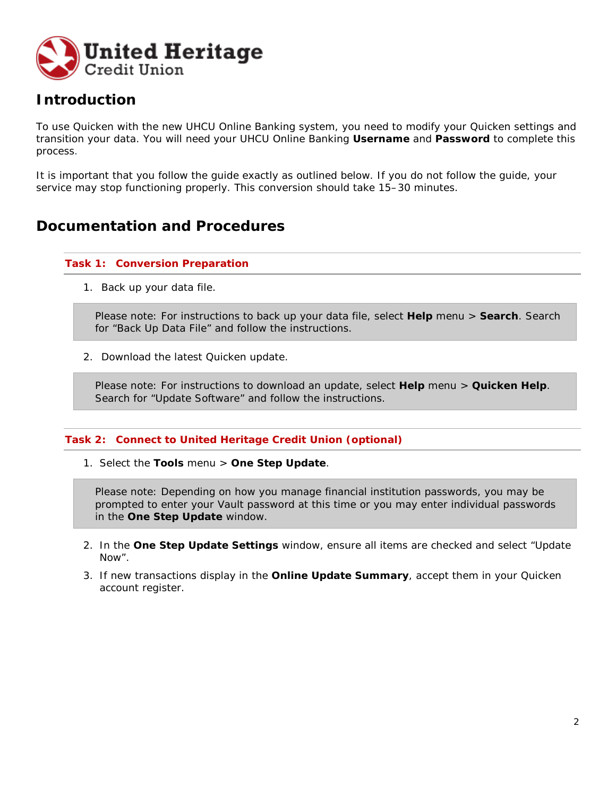

## **Introduction**

To use Quicken with the new UHCU Online Banking system, you need to modify your Quicken settings and transition your data. You will need your UHCU Online Banking **Username** and **Password** to complete this process.

It is important that you follow the guide exactly as outlined below. If you do not follow the guide, your service may stop functioning properly. This conversion should take 15–30 minutes.

### **Documentation and Procedures**

#### **Task 1: Conversion Preparation**

1. Back up your data file.

Please note: For instructions to back up your data file, select **Help** menu > **Search**. Search for "Back Up Data File" and follow the instructions.

2. Download the latest Quicken update.

Please note: For instructions to download an update, select **Help** menu > **Quicken Help**. Search for "Update Software" and follow the instructions.

#### **Task 2: Connect to United Heritage Credit Union (optional)**

1. Select the **Tools** menu > **One Step Update**.

Please note: Depending on how you manage financial institution passwords, you may be prompted to enter your Vault password at this time or you may enter individual passwords in the **One Step Update** window.

- 2. In the **One Step Update Settings** window, ensure all items are checked and select "Update Now".
- 3. If new transactions display in the **Online Update Summary**, accept them in your Quicken account register.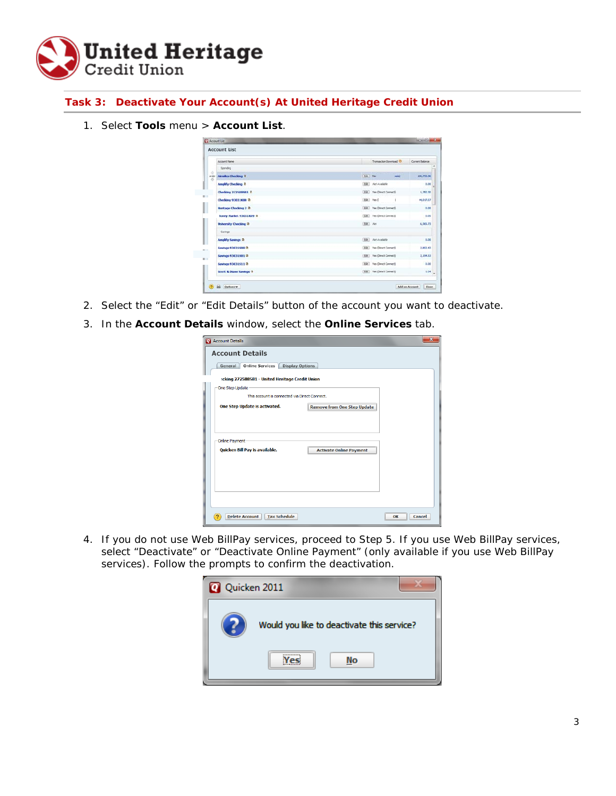

**Task 3: Deactivate Your Account(s) At United Heritage Credit Union**

1. Select **Tools** menu > **Account List**.

|            | <b>Account List</b>                |          |                              |                 |
|------------|------------------------------------|----------|------------------------------|-----------------|
|            | Account Name                       |          | Transaction Download (D)     | Current Balance |
|            | Spending                           |          |                              |                 |
| ÷<br>order | Airmles Checking D                 | Edit No  | ards                         | 106,753.36      |
|            | <b>Amplify Checking D</b>          |          | Edit Ant Available           | 0.00            |
|            | Checking 272588581 B               |          | [dit] Yes (Direct Connect)   | 1,782.30        |
|            | <b>Checking 93031K88 D</b>         |          | Edit Yes C                   | 44.017.07       |
|            | Heritage Checking 2 B              |          | Edit Yes Direct Connect)     | 0.00            |
|            | toney Harket 93031K89 D            |          | [Cdit.] Yes (Direct Connect) | 0.00            |
|            | <b>University Checking D</b>       | EGET AIN |                              | 6,565.73        |
|            | Saings                             |          |                              |                 |
|            | <b>Amplify Savings B</b>           |          | Edit Nor Available           | 0.00            |
|            | Savings 93031500 0                 |          | [Edit] Yes Direct Connect]   | 2,802.43        |
|            | Savings 93031501 B                 |          | Edit Yes Cirect Connect)     | 2,194.53        |
|            | Savinos 93031511 0                 |          | [Edit] Yes (Direct Connect)  | 0.00            |
|            | <b>Scott &amp; Diane Savings B</b> |          | Edit Vies (Direct Connect)   | 1.04            |

- 2. Select the "Edit" or "Edit Details" button of the account you want to deactivate.
- 3. In the **Account Details** window, select the **Online Services** tab.

| Account Details                                      | $\overline{\mathbf{x}}$                                                                                               |
|------------------------------------------------------|-----------------------------------------------------------------------------------------------------------------------|
| <b>Account Details</b>                               |                                                                                                                       |
| Online Services<br><b>Display Options</b><br>General |                                                                                                                       |
| :cking 272588581 - United Heritage Credit Union      | This account is connected via Direct Connect.<br><b>Remove from One Step Update</b><br><b>Activate Online Payment</b> |
| One Step Update                                      |                                                                                                                       |
|                                                      |                                                                                                                       |
| One Step Update is activated.                        |                                                                                                                       |
|                                                      |                                                                                                                       |
|                                                      |                                                                                                                       |
| Online Payment                                       |                                                                                                                       |
| Quicken Bill Pay is available.                       |                                                                                                                       |
|                                                      |                                                                                                                       |
|                                                      |                                                                                                                       |
|                                                      |                                                                                                                       |
|                                                      |                                                                                                                       |
|                                                      |                                                                                                                       |
| <b>Delete Account</b><br><b>Tax Schedule</b>         | OK<br>Cancel                                                                                                          |

4. If you do not use Web BillPay services, proceed to Step 5. If you use Web BillPay services, select "Deactivate" or "Deactivate Online Payment" (only available if you use Web BillPay services). Follow the prompts to confirm the deactivation.